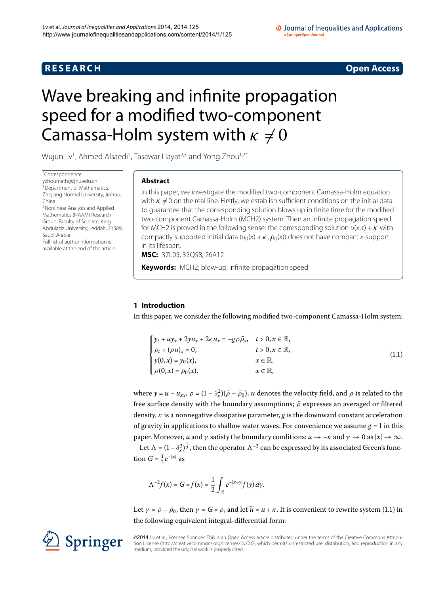# **R E S E A R C H Open Access**

## O Journal of Inequalities and Applications a SpringerOpen Journa

# <span id="page-0-0"></span>Wave breaking and infinite propagation speed for a modified two-component Camassa-Holm system with  $\kappa \neq 0$

Wujun Lv<sup>[1](#page-13-0)</sup>, Ahmed Alsaedi<sup>2</sup>, Tasawar Hayat<sup>2,[3](#page-13-2)</sup> and Yong Zhou<sup>1[,2](#page-13-1)[\\*](#page-0-0)</sup>

\* Correspondence: [yzhoumath@zjnu.edu.cn](mailto:yzhoumath@zjnu.edu.cn) <sup>1</sup> Department of Mathematics, Zhejiang Normal University, Jinhua, [C](#page-13-1)hina 2Nonlinear Analysis and Applied Mathematics (NAAM) Research Group, Faculty of Science, King Abdulaziz University, Jeddah, 21589, Saudi Arabia Full list of author information is available at the end of the article

# **Abstract**

In this paper, we investigate the modified two-component Camassa-Holm equation with  $\kappa \neq 0$  on the real line. Firstly, we establish sufficient conditions on the initial data to guarantee that the corresponding solution blows up in finite time for the modified two-component Camassa-Holm (MCH2) system. Then an infinite propagation speed for MCH2 is proved in the following sense: the corresponding solution  $u(x, t) + \kappa$  with compactly supported initial data  $(u_0(x) + \kappa, \rho_0(x))$  does not have compact x-support in its lifespan.

**MSC:** 37L05; 35Q58; 26A12

**Keywords:** MCH2; blow-up; infinite propagation speed

# **1 Introduction**

In this paper, we consider the following modified two-component Camassa-Holm system:

<span id="page-0-1"></span>

| $\int y_t + uy_x + 2yu_x + 2\kappa u_x = -g\rho \bar{\rho}_x, \quad t > 0, x \in \mathbb{R},$                                          |                             |       |
|----------------------------------------------------------------------------------------------------------------------------------------|-----------------------------|-------|
|                                                                                                                                        | $t > 0, x \in \mathbb{R}$ , | (1.1) |
| $\label{eq:rho} \left\{ \begin{aligned} &\rho_t + (\rho u)_x = 0,\\ &y(0,x) = y_0(x),\\ &\rho(0,x) = \rho_0(x), \end{aligned} \right.$ | $x \in \mathbb{R}$ ,        |       |
|                                                                                                                                        | $x \in \mathbb{R}$ ,        |       |

where  $y = u - u_{xx}$ ,  $\rho = (1 - \partial_x^2)(\bar{\rho} - \bar{\rho}_0)$ , *u* denotes the velocity field, and  $\rho$  is related to the free surface density with the boundary assumptions;  $\bar{\rho}$  expresses an averaged or filtered density, *κ* is a nonnegative dissipative parameter, *g* is the downward constant acceleration of gravity in applications to shallow water waves. For convenience we assume  $g = 1$  in this paper. Moreover, *u* and *γ* satisfy the boundary conditions:  $u \rightarrow -\kappa$  and  $\gamma \rightarrow 0$  as  $|x| \rightarrow \infty$ .

Let  $\Lambda = (1-\partial_x^2)^{\frac{1}{2}}$ , then the operator  $\Lambda^{-2}$  can be expressed by its associated Green's function  $G = \frac{1}{2}e^{-|x|}$  as

$$
\Lambda^{-2}f(x) = G * f(x) = \frac{1}{2} \int_{\mathbb{R}} e^{-|x-y|} f(y) dy.
$$

Let  $\gamma = \bar{\rho} - \bar{\rho}_0$ , then  $\gamma = G * \rho$ , and let  $\tilde{u} = u + \kappa$ . It is convenient to rewrite system (1.1) in the following equivalent integral-differential form:

©2014 Lv et al.; licensee Springer. This is an Open Access article distributed under the terms of the Creative Commons Attribution License ([http://creativecommons.org/licenses/by/2.0\)](http://creativecommons.org/licenses/by/2.0), which permits unrestricted use, distribution, and reproduction in any medium, provided the original work is properly cited.

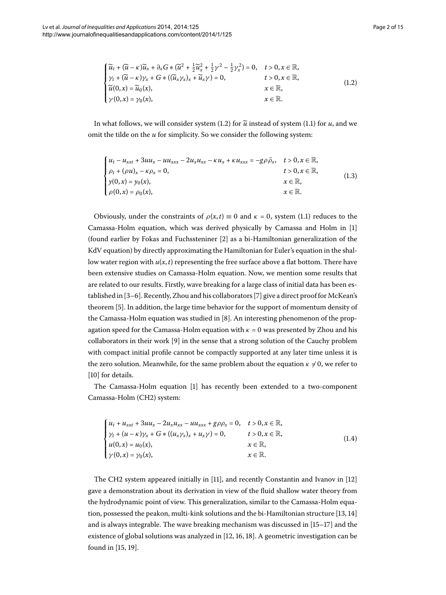<span id="page-1-1"></span><span id="page-1-0"></span>
$$
\begin{cases} \widetilde{u}_t + (\widetilde{u} - \kappa) \widetilde{u}_x + \partial_x G \ast (\widetilde{u}^2 + \frac{1}{2} \widetilde{u}_x^2 + \frac{1}{2} \gamma^2 - \frac{1}{2} \gamma_x^2) = 0, & t > 0, x \in \mathbb{R}, \\ \gamma_t + (\widetilde{u} - \kappa) \gamma_x + G \ast ((\widetilde{u}_x \gamma_x)_x + \widetilde{u}_x \gamma) = 0, & t > 0, x \in \mathbb{R}, \\ \widetilde{u}(0, x) = \widetilde{u}_0(x), & x \in \mathbb{R}, \\ \gamma(0, x) = \gamma_0(x), & x \in \mathbb{R}. \end{cases}
$$
(1.2)

In what follows, we will consider system (1[.](#page-1-0)2) for  $\tilde{u}$  instead of system (1.1) for  $u$ , and we omit the tilde on the *u* for simplicity. So we consider the following system:

$$
\begin{cases}\n u_t - u_{xxt} + 3uu_x - uu_{xxx} - 2u_xu_{xx} - \kappa u_x + \kappa u_{xxx} = -g\rho\bar{\rho}_x, & t > 0, x \in \mathbb{R}, \\
\rho_t + (\rho u)_x - \kappa \rho_x = 0, & t > 0, x \in \mathbb{R}, \\
y(0, x) = y_0(x), & x \in \mathbb{R}, \\
\rho(0, x) = \rho_0(x), & x \in \mathbb{R}.\n\end{cases}
$$
\n(1.3)

Obviously, under the constraints of  $\rho(x,t) \equiv 0$  and  $\kappa = 0$ , system (1.1) reduces to the Camassa-Holm equation, which was derived physically by Camassa and Holm in [] (found earlier by Fokas and Fuchssteniner [2[\]](#page-13-4) as a bi-Hamiltonian generalization of the KdV equation) by directly approximating the Hamiltonian for Euler's equation in the shallow water region with *u*(*x*,*t*) representing the free surface above a flat bottom. There have been extensive studies on Camassa-Holm equation. Now, we mention some results that are related to our results. Firstly, wave breaking for a large class of initial data has been established in [3-6]. Recently, Zhou and his collaborators [7] give a direct proof for McKean's theorem [\[](#page-14-2)5]. In addition, the large time behavior for the support of momentum density of the Camassa-Holm equation was studied in  $[8]$  $[8]$ . An interesting phenomenon of the propagation speed for the Camassa-Holm equation with  $\kappa = 0$  was presented by Zhou and his collaborators in their work  $[9]$  $[9]$  in the sense that a strong solution of the Cauchy problem with compact initial profile cannot be compactly supported at any later time unless it is the zero solution. Meanwhile, for the same problem about the equation  $\kappa \neq 0$ , we refer to [10[\]](#page-14-5) for details.

The Camassa-Holm equation [\[](#page-13-3)] has recently been extended to a two-component Camassa-Holm (CH2) system:

$$
\begin{cases}\n u_t + u_{xxt} + 3uu_x - 2u_x u_{xx} - uu_{xxx} + g\rho\rho_x = 0, & t > 0, x \in \mathbb{R}, \\
\gamma_t + (u - \kappa)\gamma_x + G * ((u_x \gamma_x)_x + u_x \gamma) = 0, & t > 0, x \in \mathbb{R}, \\
u(0, x) = u_0(x), & x \in \mathbb{R}, \\
\gamma(0, x) = \gamma_0(x), & x \in \mathbb{R}.\n\end{cases}
$$
\n(1.4)

The CH2 system appeared initially in  $[11]$  $[11]$ , and recently Constantin and Ivanov in  $[12]$ gave a demonstration about its derivation in view of the fluid shallow water theory from the hydrodynamic point of view. This generalization, similar to the Camassa-Holm equa-tion[,](#page-14-8) possessed the peakon, multi-kink solutions and the bi-Hamiltonian structure  $[13, 14]$ and is always integrable. The wave breaking mechanism was discussed in  $[15-17]$  and the existence of global solutions was analyzed in  $[12, 16, 18]$  $[12, 16, 18]$  $[12, 16, 18]$ . A geometric investigation can be found in  $[15, 19]$  $[15, 19]$ .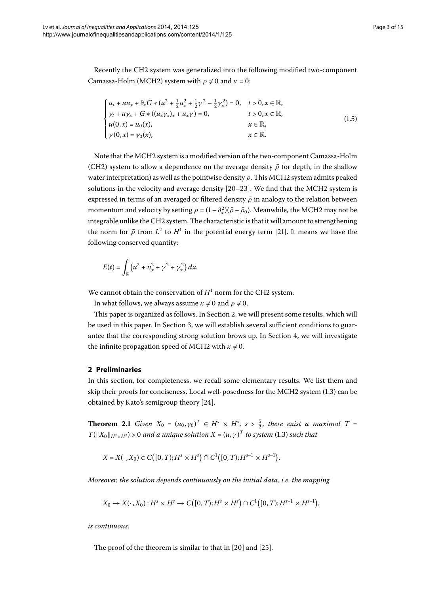Recently the CH2 system was generalized into the following modified two-component Camassa-Holm (MCH2) system with  $\rho \neq 0$  and  $\kappa = 0$ :

$$
\begin{cases}\n u_t + uu_x + \partial_x G * (u^2 + \frac{1}{2}u_x^2 + \frac{1}{2}\gamma^2 - \frac{1}{2}\gamma_x^2) = 0, & t > 0, x \in \mathbb{R}, \\
\gamma_t + u\gamma_x + G * ((u_x\gamma_x)_x + u_x\gamma) = 0, & t > 0, x \in \mathbb{R}, \\
u(0, x) = u_0(x), & x \in \mathbb{R}, \\
\gamma(0, x) = \gamma_0(x), & x \in \mathbb{R}.\n\end{cases}
$$
\n(1.5)

Note that the MCH2 system is a modified version of the two-component Camassa-Holm (CH2) system to allow a dependence on the average density  $\bar{\rho}$  (or depth, in the shallow water interpretation) as well as the pointwise density *ρ*. This MCH2 system admits peaked solutions in the velocity and average density  $[20-23]$  $[20-23]$ . We find that the MCH2 system is expressed in terms of an averaged or filtered density  $\bar{\rho}$  in analogy to the relation between momentum and velocity by setting  $\rho = (1 - \partial_x^2)(\bar{\rho} - \bar{\rho}_0)$ . Meanwhile, the MCH2 may not be integrable unlike the CH2 system. The characteristic is that it will amount to strengthening the norm for  $\bar{\rho}$  from  $L^2$  to  $H^1$  in the potential energy term [21[\]](#page-14-17). It means we have the following conserved quantity:

$$
E(t) = \int_{\mathbb{R}} \left( u^2 + u_x^2 + \gamma^2 + \gamma_x^2 \right) dx.
$$

We cannot obtain the conservation of  $H<sup>1</sup>$  norm for the CH2 system.

In what follows, we always assume  $\kappa \neq 0$  and  $\rho \neq 0$ .

<span id="page-2-0"></span>This paper is organized as follows. In Section 2, we will present some results, which will be used in this paper. In Section 3[,](#page-3-0) we will establish several sufficient conditions to guarantee that the corresponding strong solution brows up. In Section 4, we will investigate the infinite propagation speed of MCH2 with  $\kappa \neq 0$ .

# **2 Preliminaries**

In this section, for completeness, we recall some elementary results. We list them and skip their proofs for conciseness. Local well-posedness for the MCH2 system (1.3) can be obtained by Kato's semigroup theory  $[24]$ .

**Theorem 2.1** Given  $X_0 = (u_0, \gamma_0)^T \in H^s \times H^s$ ,  $s > \frac{5}{2}$ , there exist a maximal  $T =$  $T(\|X_0\|_{H^s\times H^s})$  > 0 and a unique solution  $X=(u,\gamma)^T$  to system (1.3) such that

$$
X = X(\cdot, X_0) \in C([0, T); H^s \times H^s) \cap C^1([0, T); H^{s-1} \times H^{s-1}).
$$

*Moreover*, *the solution depends continuously on the initial data*, *i.e. the mapping*

$$
X_0 \to X(\cdot, X_0): H^s \times H^s \to C([0, T); H^s \times H^s) \cap C^1([0, T); H^{s-1} \times H^{s-1}),
$$

*is continuous*.

The proof of the theorem is similar to that in  $[20]$  $[20]$  and  $[25]$ .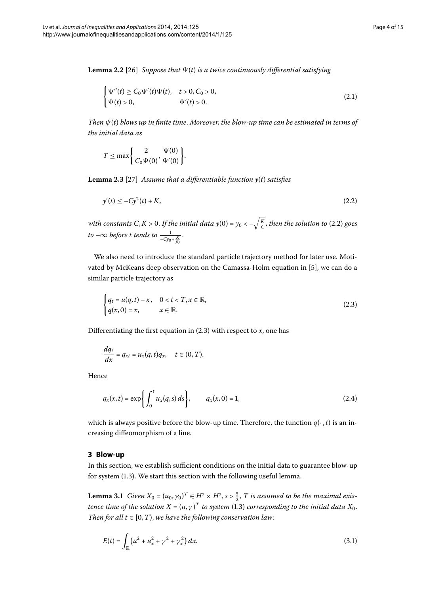**Lemma 2.2** [26] *Suppose that*  $\Psi(t)$  *is a twice continuously differential satisfying* 

$$
\begin{cases} \Psi''(t) \ge C_0 \Psi'(t) \Psi(t), & t > 0, C_0 > 0, \\ \Psi(t) > 0, & \Psi'(t) > 0. \end{cases} \tag{2.1}
$$

<span id="page-3-5"></span>*Then ψ*(*t*) *blows up in finite time*. *Moreover*, *the blow-up time can be estimated in terms of the initial data as*

<span id="page-3-1"></span>
$$
T \leq \max \bigg\{\frac{2}{C_0 \Psi(0)}, \frac{\Psi(0)}{\Psi'(0)}\bigg\}.
$$

**Lemma 2.3** [27[\]](#page-14-21) Assume that a differentiable function  $y(t)$  satisfies

<span id="page-3-2"></span>
$$
y'(t) \le -Cy^2(t) + K,\tag{2.2}
$$

with constants C, K  $>$  0[.](#page-3-1) If the initial data y(0) = y<sub>0</sub> <  $-\sqrt{\frac{K}{C}}$ , then the solution to (2.2) goes  $to$  – $\infty$  *before t tends to*  $\frac{1}{-Cy_0+\frac{K}{y_0}}$ .

We also need to introduce the standard particle trajectory method for later use. Motivated by McKeans deep observation on the Camassa-Holm equation in [5], we can do a similar particle trajectory as

$$
\begin{cases} q_t = u(q, t) - \kappa, & 0 < t < T, x \in \mathbb{R}, \\ q(x, 0) = x, & x \in \mathbb{R}. \end{cases}
$$
 (2.3)

Differentiating the first equation in  $(2.3)$  $(2.3)$  $(2.3)$  with respect to *x*, one has

<span id="page-3-4"></span>
$$
\frac{dq_t}{dx}=q_{xt}=u_x(q,t)q_x, \quad t\in(0,T).
$$

<span id="page-3-0"></span>Hence

$$
q_x(x,t) = \exp\left\{ \int_0^t u_x(q,s) \, ds \right\}, \qquad q_x(x,0) = 1,\tag{2.4}
$$

which is always positive before the blow-up time. Therefore, the function  $q(\cdot, t)$  is an increasing diffeomorphism of a line.

## **3 Blow-up**

In this section, we establish sufficient conditions on the initial data to guarantee blow-up for system (1.3). We start this section with the following useful lemma.

**Lemma 3.1** Given  $X_0 = (u_0, \gamma_0)^T \in H^s \times H^s$ ,  $s > \frac{5}{2}$ , T is assumed to be the maximal exis*tence time of the solution X* =  $(u, \gamma)^T$  *to system* (1.3) *corresponding to the initial data X*<sub>0</sub>. *Then for all t*  $\in$  [0, *T*), we have the following conservation law:

<span id="page-3-3"></span>
$$
E(t) = \int_{\mathbb{R}} \left( u^2 + u_x^2 + \gamma^2 + \gamma_x^2 \right) dx.
$$
 (3.1)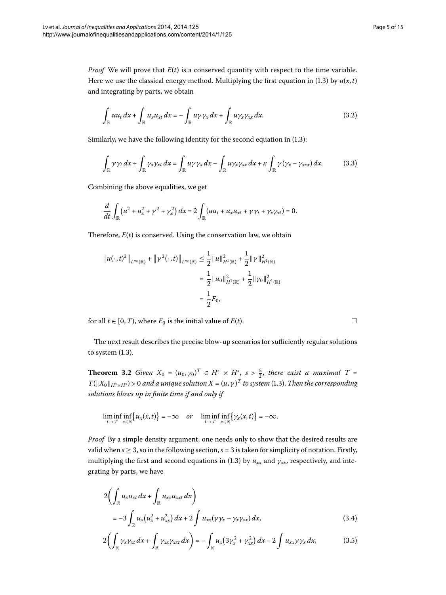*Proof* We will prove that  $E(t)$  is a conserved quantity with respect to the time variable. Here we use the classical energy method. Multiplying the first equation in (1.3) by  $u(x, t)$ and integrating by parts, we obtain

<span id="page-4-1"></span><span id="page-4-0"></span>
$$
\int_{\mathbb{R}} uu_t dx + \int_{\mathbb{R}} u_x u_{xt} dx = - \int_{\mathbb{R}} u \gamma \gamma_x dx + \int_{\mathbb{R}} u \gamma_x \gamma_{xx} dx.
$$
\n(3.2)

Similarly, we have the following identity for the second equation in  $(1.3)$ :

$$
\int_{\mathbb{R}} \gamma \gamma_t dx + \int_{\mathbb{R}} \gamma_x \gamma_{xt} dx = \int_{\mathbb{R}} u \gamma \gamma_x dx - \int_{\mathbb{R}} u \gamma_x \gamma_{xx} dx + \kappa \int_{\mathbb{R}} \gamma (\gamma_x - \gamma_{xxx}) dx.
$$
 (3.3)

Combining the above equalities, we get

$$
\frac{d}{dt}\int_{\mathbb{R}}\left(u^2+u_x^2+\gamma^2+\gamma_x^2\right)dx=2\int_{\mathbb{R}}\left(uu_t+u_xu_{xt}+\gamma\gamma_t+\gamma_x\gamma_{xt}\right)=0.
$$

Therefore,  $E(t)$  is conserved. Using the conservation law, we obtain

$$
\|u(\cdot,t)^2\|_{L^{\infty}(\mathbb{R})} + \|\gamma^2(\cdot,t)\|_{L^{\infty}(\mathbb{R})} \le \frac{1}{2} \|u\|_{H^1(\mathbb{R})}^2 + \frac{1}{2} \|\gamma\|_{H^1(\mathbb{R})}^2
$$

$$
= \frac{1}{2} \|u_0\|_{H^1(\mathbb{R})}^2 + \frac{1}{2} \|\gamma_0\|_{H^1(\mathbb{R})}^2
$$

$$
= \frac{1}{2} E_0,
$$

<span id="page-4-2"></span>for all  $t \in [0, T)$ , where  $E_0$  is the initial value of  $E(t)$ .

The next result describes the precise blow-up scenarios for sufficiently regular solutions to system  $(1.3)$ .

**Theorem 3.2** Given  $X_0 = (u_0, \gamma_0)^T \in H^s \times H^s$ ,  $s > \frac{5}{2}$ , there exist a maximal  $T =$  $T(\|X_0\|_{H^s\times H^s})$  > 0 and a unique solution  $X=(u,\gamma)^T$  to system (1.3). Then the corresponding *solutions blows up in finite time if and only if*

$$
\liminf_{t\to T}\inf_{x\in\mathbb{R}}\big\{u_x(x,t)\big\}=-\infty \quad or \quad \liminf_{t\to T}\inf_{x\in\mathbb{R}}\big\{\gamma_x(x,t)\big\}=-\infty.
$$

*Proof* By a simple density argument, one needs only to show that the desired results are valid when  $s \geq 3$ , so in the following section,  $s = 3$  is taken for simplicity of notation. Firstly, multiplying the first and second equations in (1.3) by  $u_{xx}$  and  $\gamma_{xx}$ , respectively, and integrating by parts, we have

$$
2\left(\int_{\mathbb{R}} u_x u_{xt} dx + \int_{\mathbb{R}} u_{xx} u_{xxt} dx\right)
$$
  
= -3 \int\_{\mathbb{R}} u\_x (u\_x^2 + u\_{xx}^2) dx + 2 \int u\_{xx} (\gamma \gamma\_x - \gamma\_x \gamma\_{xx}) dx, (3.4)

$$
2\bigg(\int_{\mathbb{R}}\gamma_x\gamma_{xt}dx+\int_{\mathbb{R}}\gamma_{xx}\gamma_{xxt}dx\bigg)=-\int_{\mathbb{R}}u_x\big(3\gamma_x^2+\gamma_{xx}^2\big)dx-2\int u_{xx}\gamma\gamma_xdx,\qquad\qquad(3.5)
$$

 $\Box$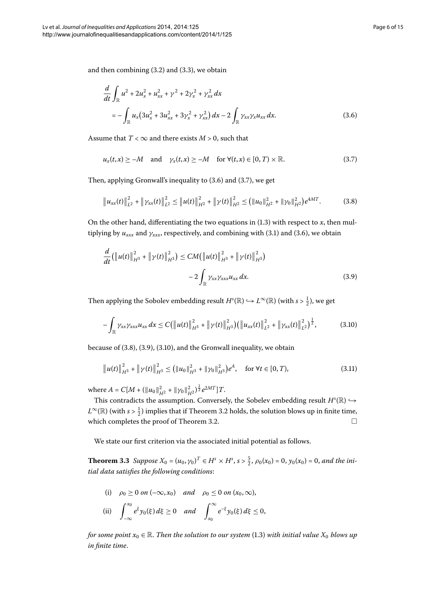and then combining  $(3.2)$  $(3.2)$  $(3.2)$  and  $(3.3)$ , we obtain

<span id="page-5-1"></span><span id="page-5-0"></span>
$$
\frac{d}{dt}\int_{\mathbb{R}}u^2 + 2u_x^2 + u_{xx}^2 + \gamma^2 + 2\gamma_x^2 + \gamma_{xx}^2 dx
$$
\n
$$
= -\int_{\mathbb{R}}u_x(3u_x^2 + 3u_{xx}^2 + 3\gamma_x^2 + \gamma_{xx}^2) dx - 2\int_{\mathbb{R}}\gamma_{xx}\gamma_x u_{xx} dx.
$$
\n(3.6)

Assume that  $T < \infty$  and there exists  $M > 0$ , such that

<span id="page-5-2"></span>
$$
u_x(t,x) \ge -M \quad \text{and} \quad \gamma_x(t,x) \ge -M \quad \text{for } \forall (t,x) \in [0,T) \times \mathbb{R}.
$$

<span id="page-5-3"></span>Then, applying Gronwall's inequality to  $(3.6)$  $(3.6)$  $(3.6)$  and  $(3.7)$ , we get

$$
\left\|u_{xx}(t)\right\|_{L^2}^2 + \left\|\gamma_{xx}(t)\right\|_{L^2}^2 \leq \left\|u(t)\right\|_{H^2}^2 + \left\|\gamma(t)\right\|_{H^2}^2 \leq \left(\left\|u_0\right\|_{H^2}^2 + \left\|\gamma_0\right\|_{H^2}^2\right)e^{4MT}.\tag{3.8}
$$

On the other hand, differentiating the two equations in  $(1.3)$  $(1.3)$  $(1.3)$  with respect to *x*, then multiplying by  $u_{xxx}$  and  $\gamma_{xxx}$ , respectively, and combining with (3[.](#page-5-0)1) and (3.6), we obtain

<span id="page-5-4"></span>
$$
\frac{d}{dt}(\|u(t)\|_{H^{3}}^{2} + \|\gamma(t)\|_{H^{3}}^{2}) \le CM(\|u(t)\|_{H^{3}}^{2} + \|\gamma(t)\|_{H^{3}}^{2})
$$

$$
-2\int_{\mathbb{R}} \gamma_{xx}\gamma_{xxx}u_{xx}dx.
$$
\n(3.9)

Then applying the Sobolev embedding result  $H^s(\mathbb{R}) \hookrightarrow L^{\infty}(\mathbb{R})$  (with  $s > \frac{1}{2}$ ), we get

$$
-\int_{\mathbb{R}} \gamma_{xx}\gamma_{xxx} u_{xx} dx \leq C \big( \big\| u(t) \big\|_{H^3}^2 + \big\| \gamma(t) \big\|_{H^3}^2 \big) \big( \big\| u_{xx}(t) \big\|_{L^2}^2 + \big\| \gamma_{xx}(t) \big\|_{L^2}^2 \big)^{\frac{1}{2}}, \qquad (3.10)
$$

because of  $(3.8)$  $(3.8)$  $(3.8)$ ,  $(3.9)$ ,  $(3.10)$ , and the Gronwall inequality, we obtain

$$
\|u(t)\|_{H^3}^2 + \|\gamma(t)\|_{H^3}^2 \le (||u_0||_{H^3}^2 + \|\gamma_0\|_{H^3}^2)e^A, \quad \text{for } \forall t \in [0, T),
$$
 (3.11)

<span id="page-5-5"></span>where  $A = C[M + (\|u_0\|_{H^2}^2 + \|\gamma_0\|_{H^2}^2)^{\frac{1}{2}}e^{2MT}]T$ .

This contradicts the assumption. Conversely, the Sobelev embedding result  $H^s(\mathbb{R}) \hookrightarrow$  $L^{\infty}(\mathbb{R})$  (with  $s > \frac{1}{2}$ ) implies that if Theorem 3[.](#page-4-2)2 holds, the solution blows up in finite time, which completes the proof of Theorem 3.2.  $\Box$ 

We state our first criterion via the associated initial potential as follows.

**Theorem 3.3** Suppose  $X_0 = (u_0, \gamma_0)^T \in H^s \times H^s$ ,  $s > \frac{5}{2}$ ,  $\rho_0(x_0) = 0$ ,  $y_0(x_0) = 0$ , and the ini*tial data satisfies the following conditions*:

(i) 
$$
\rho_0 \ge 0
$$
 on  $(-\infty, x_0)$  and  $\rho_0 \le 0$  on  $(x_0, \infty)$ ,  
\n(ii)  $\int_{-\infty}^{x_0} e^{\xi} y_0(\xi) d\xi \ge 0$  and  $\int_{x_0}^{\infty} e^{-\xi} y_0(\xi) d\xi \le 0$ ,

*for some point*  $x_0 \in \mathbb{R}$ [.](#page-1-1) *Then the solution to our system* (1.3) *with initial value*  $X_0$  *blows up in finite time*.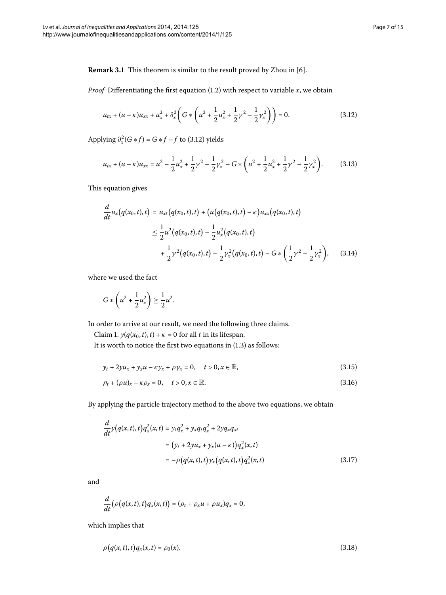**Remark 3.1** This theorem is similar to the result proved by Zhou in [6].

*Proof* Differentiating the first equation  $(1.2)$  $(1.2)$  $(1.2)$  with respect to variable *x*, we obtain

<span id="page-6-2"></span><span id="page-6-0"></span>
$$
u_{tx} + (u - \kappa)u_{xx} + u_x^2 + \partial_x^2 \left( G \ast \left( u^2 + \frac{1}{2} u_x^2 + \frac{1}{2} \gamma^2 - \frac{1}{2} \gamma_x^2 \right) \right) = 0. \tag{3.12}
$$

<span id="page-6-1"></span>Applying  $\partial_x^2(G*f) = G*f - f$  to (3[.](#page-6-0)12) yields

$$
u_{tx} + (u - \kappa)u_{xx} = u^2 - \frac{1}{2}u_x^2 + \frac{1}{2}\gamma^2 - \frac{1}{2}\gamma_x^2 - G * \left(u^2 + \frac{1}{2}u_x^2 + \frac{1}{2}\gamma^2 - \frac{1}{2}\gamma_x^2\right).
$$
 (3.13)

This equation gives

$$
\frac{d}{dt}u_x(q(x_0,t),t) = u_{xt}(q(x_0,t),t) + (u(q(x_0,t),t) - \kappa)u_{xx}(q(x_0,t),t)
$$
\n
$$
\leq \frac{1}{2}u^2(q(x_0,t),t) - \frac{1}{2}u_x^2(q(x_0,t),t)
$$
\n
$$
+ \frac{1}{2}\gamma^2(q(x_0,t),t) - \frac{1}{2}\gamma_x^2(q(x_0,t),t) - G*\left(\frac{1}{2}\gamma^2 - \frac{1}{2}\gamma_x^2\right), \quad (3.14)
$$

where we used the fact

$$
G * \left(u^2 + \frac{1}{2}u_x^2\right) \ge \frac{1}{2}u^2.
$$

In order to arrive at our result, we need the following three claims.

Claim 1.  $y(q(x_0, t), t) + \kappa = 0$  for all *t* in its lifespan.

<span id="page-6-3"></span>It is worth to notice the first two equations in  $(1.3)$  as follows:

$$
y_t + 2yu_x + y_xu - \kappa y_x + \rho y_x = 0, \quad t > 0, x \in \mathbb{R},
$$
\n(3.15)

$$
\rho_t + (\rho u)_x - \kappa \rho_x = 0, \quad t > 0, x \in \mathbb{R}.
$$
\n
$$
(3.16)
$$

By applying the particle trajectory method to the above two equations, we obtain

$$
\frac{d}{dt}y(q(x,t),t)q_x^2(x,t) = y_t q_x^2 + y_x q_t q_x^2 + 2y q_x q_{xt} \n= (y_t + 2y u_x + y_x (u - \kappa))q_x^2(x,t) \n= -\rho (q(x,t),t)\gamma_x (q(x,t),t)q_x^2(x,t)
$$
\n(3.17)

and

<span id="page-6-4"></span>
$$
\frac{d}{dt}\big(\rho\big(q(x,t),t\big)q_x(x,t)\big)=(\rho_t+\rho_x u+\rho u_x)q_x=0,
$$

which implies that

$$
\rho\big(q(x,t),t\big)q_x(x,t)=\rho_0(x). \tag{3.18}
$$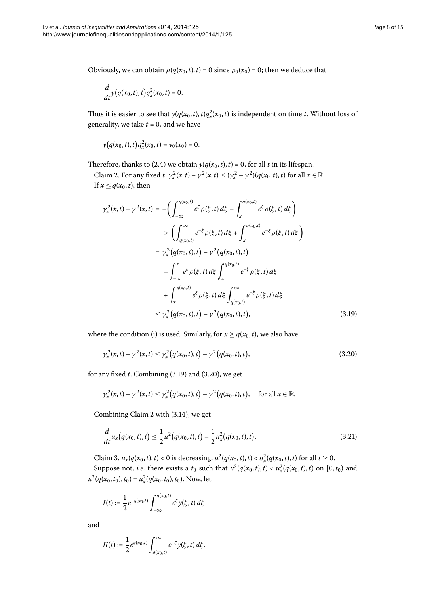Obviously, we can obtain  $\rho(q(x_0, t), t) = 0$  since  $\rho_0(x_0) = 0$ ; then we deduce that

$$
\frac{d}{dt}y(q(x_0,t),t)q_x^2(x_0,t)=0.
$$

Thus it is easier to see that  $y(q(x_0,t),t)q_x^2(x_0,t)$  is independent on time *t*. Without loss of generality, we take  $t = 0$ , and we have

$$
y(q(x_0,t),t)q_x^2(x_0,t)=y_0(x_0)=0.
$$

<span id="page-7-0"></span>Therefore, thanks to (2[.](#page-3-4)4) we obtain  $y(q(x_0, t), t) = 0$ , for all *t* in its lifespan.

Claim 2. For any fixed *t*,  $\gamma_x^2(x,t) - \gamma^2(x,t) \le (\gamma_x^2 - \gamma^2)(q(x_0,t),t)$  for all  $x \in \mathbb{R}$ . If  $x \leq q(x_0, t)$ , then

$$
\gamma_x^2(x,t) - \gamma^2(x,t) = -\left(\int_{-\infty}^{q(x_0,t)} e^{\xi} \rho(\xi,t) d\xi - \int_x^{q(x_0,t)} e^{\xi} \rho(\xi,t) d\xi\right)
$$
  

$$
\times \left(\int_{q(x_0,t)}^{\infty} e^{-\xi} \rho(\xi,t) d\xi + \int_x^{q(x_0,t)} e^{-\xi} \rho(\xi,t) d\xi\right)
$$
  

$$
= \gamma_x^2 \left(q(x_0,t),t\right) - \gamma^2 \left(q(x_0,t),t\right)
$$
  

$$
- \int_{-\infty}^x e^{\xi} \rho(\xi,t) d\xi \int_x^{q(x_0,t)} e^{-\xi} \rho(\xi,t) d\xi
$$
  

$$
+ \int_x^{q(x_0,t)} e^{\xi} \rho(\xi,t) d\xi \int_{q(x_0,t)}^{\infty} e^{-\xi} \rho(\xi,t) d\xi
$$
  

$$
\leq \gamma_x^2 \left(q(x_0,t),t\right) - \gamma^2 \left(q(x_0,t),t\right), \tag{3.19}
$$

where the condition (i) is used. Similarly, for  $x \geq q(x_0, t)$ , we also have

<span id="page-7-2"></span><span id="page-7-1"></span>
$$
\gamma_x^2(x,t) - \gamma^2(x,t) \le \gamma_x^2 \big( q(x_0,t),t \big) - \gamma^2 \big( q(x_0,t),t \big),\tag{3.20}
$$

for any fixed  $t$ . Combining  $(3.19)$  and  $(3.20)$ , we get

$$
\gamma_x^2(x,t) - \gamma^2(x,t) \le \gamma_x^2(q(x_0,t),t) - \gamma^2(q(x_0,t),t),
$$
 for all  $x \in \mathbb{R}$ .

Combining Claim 2 with (3.14), we get

$$
\frac{d}{dt}u_x(q(x_0,t),t) \le \frac{1}{2}u^2(q(x_0,t),t) - \frac{1}{2}u_x^2(q(x_0,t),t).
$$
\n(3.21)

Claim 3.  $u_x(q(x_0, t), t) < 0$  is decreasing,  $u^2(q(x_0, t), t) < u_x^2(q(x_0, t), t)$  for all  $t \ge 0$ . Suppose not, *i.e.* there exists a  $t_0$  such that  $u^2(q(x_0,t),t) < u^2_x(q(x_0,t),t)$  on  $[0,t_0)$  and  $u^2(q(x_0, t_0), t_0) = u_x^2(q(x_0, t_0), t_0)$ . Now, let

$$
I(t) := \frac{1}{2} e^{-q(x_0, t)} \int_{-\infty}^{q(x_0, t)} e^{\xi} y(\xi, t) d\xi
$$

and

$$
II(t) := \frac{1}{2} e^{q(x_0,t)} \int_{q(x_0,t)}^{\infty} e^{-\xi} y(\xi,t) d\xi.
$$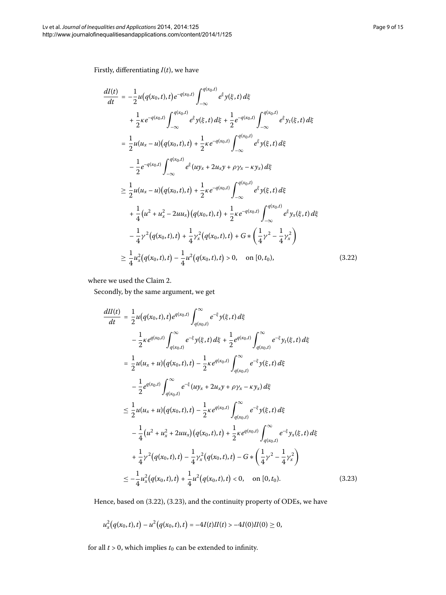<span id="page-8-0"></span>Firstly, differentiating *I*(*t*), we have

$$
\frac{dI(t)}{dt} = -\frac{1}{2}u(q(x_0, t), t)e^{-q(x_0, t)}\int_{-\infty}^{q(x_0, t)} e^{\xi}y(\xi, t) d\xi \n+ \frac{1}{2}\kappa e^{-q(x_0, t)}\int_{-\infty}^{q(x_0, t)} e^{\xi}y(\xi, t) d\xi + \frac{1}{2}e^{-q(x_0, t)}\int_{-\infty}^{q(x_0, t)} e^{\xi}y_t(\xi, t) d\xi \n= \frac{1}{2}u(u_x - u)(q(x_0, t), t) + \frac{1}{2}\kappa e^{-q(x_0, t)}\int_{-\infty}^{q(x_0, t)} e^{\xi}y(\xi, t) d\xi \n- \frac{1}{2}e^{-q(x_0, t)}\int_{-\infty}^{q(x_0, t)} e^{\xi}(uy_x + 2u_x y + \rho y_x - \kappa y_x) d\xi \n\geq \frac{1}{2}u(u_x - u)(q(x_0, t), t) + \frac{1}{2}\kappa e^{-q(x_0, t)}\int_{-\infty}^{q(x_0, t)} e^{\xi}y(\xi, t) d\xi \n+ \frac{1}{4}(u^2 + u_x^2 - 2uu_x)(q(x_0, t), t) + \frac{1}{2}\kappa e^{-q(x_0, t)}\int_{-\infty}^{q(x_0, t)} e^{\xi}y_x(\xi, t) d\xi \n- \frac{1}{4}\gamma^2(q(x_0, t), t) + \frac{1}{4}\gamma_x^2(q(x_0, t), t) + G * (\frac{1}{4}\gamma^2 - \frac{1}{4}\gamma_x^2) \n\geq \frac{1}{4}u_x^2(q(x_0, t), t) - \frac{1}{4}u^2(q(x_0, t), t) > 0, \text{ on } [0, t_0), \tag{3.22}
$$

<span id="page-8-1"></span>where we used the Claim 2.

Secondly, by the same argument, we get

$$
\frac{dI(t)}{dt} = \frac{1}{2}u(q(x_0, t), t)e^{q(x_0, t)}\int_{q(x_0, t)}^{\infty} e^{-\xi}y(\xi, t) d\xi \n- \frac{1}{2}\kappa e^{q(x_0, t)}\int_{q(x_0, t)}^{\infty} e^{-\xi}y(\xi, t) d\xi + \frac{1}{2}e^{q(x_0, t)}\int_{q(x_0, t)}^{\infty} e^{-\xi}y_t(\xi, t) d\xi \n= \frac{1}{2}u(u_x + u)(q(x_0, t), t) - \frac{1}{2}\kappa e^{q(x_0, t)}\int_{q(x_0, t)}^{\infty} e^{-\xi}y(\xi, t) d\xi \n- \frac{1}{2}e^{q(x_0, t)}\int_{q(x_0, t)}^{\infty} e^{-\xi}(uy_x + 2u_x y + \rho y_x - \kappa y_x) d\xi \n\leq \frac{1}{2}u(u_x + u)(q(x_0, t), t) - \frac{1}{2}\kappa e^{q(x_0, t)}\int_{q(x_0, t)}^{\infty} e^{-\xi}y(\xi, t) d\xi \n- \frac{1}{4}(u^2 + u_x^2 + 2uu_x)(q(x_0, t), t) + \frac{1}{2}\kappa e^{q(x_0, t)}\int_{q(x_0, t)}^{\infty} e^{-\xi}y_x(\xi, t) d\xi \n+ \frac{1}{4}\gamma^2(q(x_0, t), t) - \frac{1}{4}\gamma_x^2(q(x_0, t), t) - G * (\frac{1}{4}\gamma^2 - \frac{1}{4}\gamma_x^2) \n\leq -\frac{1}{4}u_x^2(q(x_0, t), t) + \frac{1}{4}u^2(q(x_0, t), t) < 0, \text{ on } [0, t_0).
$$
\n(3.23)

Hence, based on (3[.](#page-8-0)22), (3.23), and the continuity property of ODEs, we have

$$
u_x^2(q(x_0,t),t)-u^2(q(x_0,t),t)=-4I(t)II(t) > -4I(0)II(0) \geq 0,
$$

for all  $t > 0$ , which implies  $t_0$  can be extended to infinity.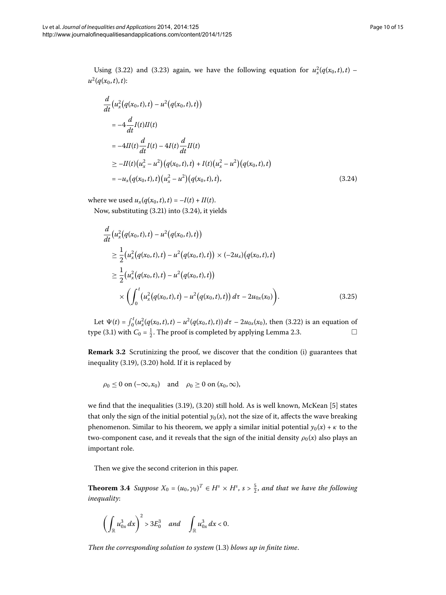Using (3.22) and (3.23) again, we have the following equation for  $u_x^2(q(x_0,t),t)$  –  $u^2(q(x_0,t),t)$ :

<span id="page-9-0"></span>
$$
\frac{d}{dt} (u_x^2 (q(x_0, t), t) - u^2 (q(x_0, t), t))
$$
\n
$$
= -4 \frac{d}{dt} I(t)II(t)
$$
\n
$$
= -4II(t) \frac{d}{dt} I(t) - 4I(t) \frac{d}{dt} II(t)
$$
\n
$$
\geq -II(t) (u_x^2 - u^2) (q(x_0, t), t) + I(t) (u_x^2 - u^2) (q(x_0, t), t)
$$
\n
$$
= -u_x (q(x_0, t), t) (u_x^2 - u^2) (q(x_0, t), t), \qquad (3.24)
$$

where we used  $u_x(q(x_0, t), t) = -I(t) + II(t)$ .

Now, substituting (3[.](#page-9-0)21) into (3.24), it yields

$$
\frac{d}{dt} \left( u_x^2 \left( q(x_0, t), t \right) - u^2 \left( q(x_0, t), t \right) \right) \n\geq \frac{1}{2} \left( u_x^2 \left( q(x_0, t), t \right) - u^2 \left( q(x_0, t), t \right) \right) \times (-2u_x) \left( q(x_0, t), t \right) \n\geq \frac{1}{2} \left( u_x^2 \left( q(x_0, t), t \right) - u^2 \left( q(x_0, t), t \right) \right) \n\times \left( \int_0^t \left( u_x^2 \left( q(x_0, t), t \right) - u^2 \left( q(x_0, t), t \right) \right) d\tau - 2u_{0x}(x_0) \right).
$$
\n(3.25)

Let  $\Psi(t) = \int_0^t (u_x^2(q(x_0, t), t) - u^2(q(x_0, t), t)) d\tau - 2u_{0x}(x_0)$ , then (3.22) is an equation of type (3[.](#page-3-5)1) with  $C_0 = \frac{1}{2}$ . The proof is completed by applying Lemma 2.3.  $\Box$ 

**Remark 3.2** Scrutinizing the proof, we discover that the condition (i) guarantees that inequality (3.19), (3.20) hold. If it is replaced by

$$
\rho_0 \leq 0 \text{ on } (-\infty, x_0) \quad \text{and} \quad \rho_0 \geq 0 \text{ on } (x_0, \infty),
$$

we find that the inequalities  $(3.19)$ ,  $(3.20)$  still hold. As is well known, McKean [5] states that only the sign of the initial potential  $y_0(x)$ , not the size of it, affects the wave breaking phenomenon. Similar to his theorem, we apply a similar initial potential  $y_0(x) + \kappa$  to the two-component case, and it reveals that the sign of the initial density  $\rho_0(x)$  also plays an important role.

Then we give the second criterion in this paper.

**Theorem 3.4** Suppose  $X_0 = (u_0, \gamma_0)^T \in H^s \times H^s$ ,  $s > \frac{5}{2}$ , and that we have the following *inequality*:

$$
\left(\int_{\mathbb{R}} u_{0x}^3 dx\right)^2 > 3E_0^3 \quad and \quad \int_{\mathbb{R}} u_{0x}^3 dx < 0.
$$

*Then the corresponding solution to system* (1.3) *blows up in finite time*.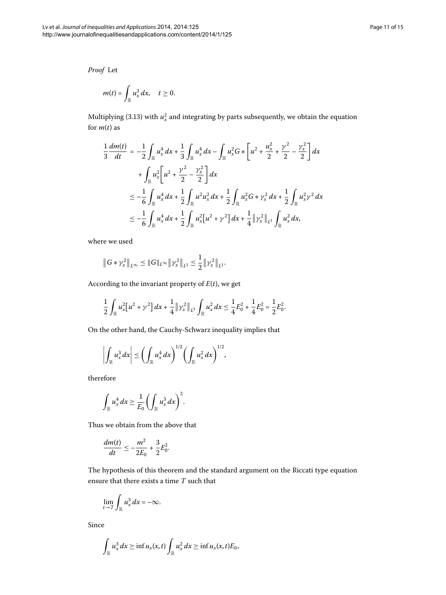*Proof* Let

$$
m(t)=\int_{\mathbb{R}}u_x^3\,dx,\quad t\geq 0.
$$

Multiplying (3.13) with  $u_x^2$  and integrating by parts subsequently, we obtain the equation for  $m(t)$  as

$$
\frac{1}{3}\frac{dm(t)}{dt} = -\frac{1}{2}\int_{\mathbb{R}} u_x^4 dx + \frac{1}{3}\int_{\mathbb{R}} u_x^4 dx - \int_{\mathbb{R}} u_x^2 G * \left[ u^2 + \frac{u_x^2}{2} + \frac{\gamma^2}{2} - \frac{\gamma_x^2}{2} \right] dx
$$
  
+ 
$$
\int_{\mathbb{R}} u_x^2 \left[ u^2 + \frac{\gamma^2}{2} - \frac{\gamma_x^2}{2} \right] dx
$$
  

$$
\leq -\frac{1}{6} \int_{\mathbb{R}} u_x^4 dx + \frac{1}{2} \int_{\mathbb{R}} u^2 u_x^2 dx + \frac{1}{2} \int_{\mathbb{R}} u_x^2 G * \gamma_x^2 dx + \frac{1}{2} \int_{\mathbb{R}} u_x^2 \gamma^2 dx
$$
  

$$
\leq -\frac{1}{6} \int_{\mathbb{R}} u_x^4 dx + \frac{1}{2} \int_{\mathbb{R}} u_x^2 [u^2 + \gamma^2] dx + \frac{1}{4} ||\gamma_x^2||_{L^1} \int_{\mathbb{R}} u_x^2 dx,
$$

where we used

$$
\left\|G*\gamma_x^2\right\|_{L^\infty}\leq\|G\|_{L^\infty}\left\|\gamma_x^2\right\|_{L^1}\leq\frac{1}{2}\left\|\gamma_x^2\right\|_{L^1}.
$$

According to the invariant property of *E*(*t*), we get

$$
\frac{1}{2}\int_{\mathbb{R}}u_x^2[u^2+\gamma^2\,dx+\frac{1}{4}\|\gamma_x^2\|_{L^1}\int_{\mathbb{R}}u_x^2\,dx\leq \frac{1}{4}E_0^2+\frac{1}{4}E_0^2=\frac{1}{2}E_0^2.
$$

On the other hand, the Cauchy-Schwarz inequality implies that

$$
\left|\int_{\mathbb{R}} u_x^3 dx\right| \leq \left(\int_{\mathbb{R}} u_x^4 dx\right)^{1/2} \left(\int_{\mathbb{R}} u_x^2 dx\right)^{1/2},\,
$$

therefore

$$
\int_{\mathbb{R}} u_x^4 dx \geq \frac{1}{E_0} \bigg( \int_{\mathbb{R}} u_x^3 dx \bigg)^2.
$$

Thus we obtain from the above that

$$
\frac{dm(t)}{dt} \le -\frac{m^2}{2E_0} + \frac{3}{2}E_0^2.
$$

The hypothesis of this theorem and the standard argument on the Riccati type equation ensure that there exists a time *T* such that

$$
\lim_{t\to T}\int_{\mathbb{R}}u_x^3\,dx=-\infty.
$$

Since

$$
\int_{\mathbb{R}} u_x^3 dx \geq \inf u_x(x,t) \int_{\mathbb{R}} u_x^2 dx \geq \inf u_x(x,t) E_0,
$$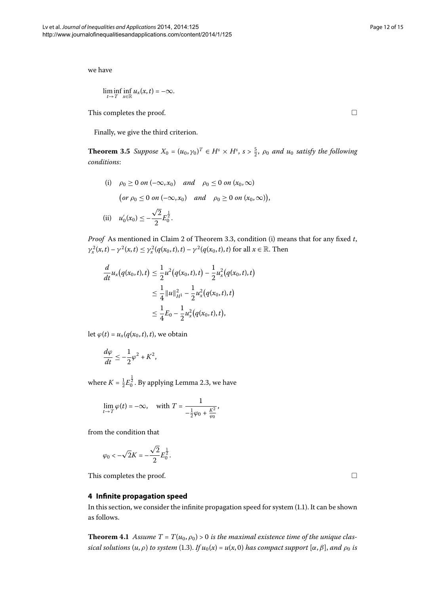we have

$$
\liminf_{t\to T}\inf_{x\in\mathbb{R}}u_x(x,t)=-\infty.
$$

This completes the proof.

Finally, we give the third criterion.

**Theorem 3.5** Suppose  $X_0 = (u_0, \gamma_0)^T \in H^s \times H^s$ ,  $s > \frac{5}{2}$ ,  $\rho_0$  and  $u_0$  satisfy the following *conditions*:

(i)  $\rho_0 \ge 0$  on  $(-\infty, x_0)$  *and*  $\rho_0 \le 0$  on  $(x_0, \infty)$  $\left(\text{or } \rho_0 \leq 0 \text{ on } (-\infty, x_0) \quad \text{and} \quad \rho_0 \geq 0 \text{ on } (x_0, \infty)\right),$ (ii)  $u'_0(x_0) \leq \sqrt{2}$  $\frac{2}{2}E_0^{\frac{1}{2}}$ .

*Proof* As mentioned in Claim 2 of Theorem 3[.](#page-5-5)3, condition (i) means that for any fixed t, *γ*<sub>*x*</sub></sub><sup>2</sup>(*x*,*t*) − *γ*<sup>2</sup>(*x*,*t*) ≤ *γ*<sub>*x*</sub><sup>2</sup>(*q*(*x*<sub>0</sub>,*t*),*t*) − *γ*<sup>2</sup>(*q*(*x*<sub>0</sub>,*t*),*t*) for all *x* ∈ R. Then

$$
\frac{d}{dt}u_x(q(x_0,t),t) \le \frac{1}{2}u^2(q(x_0,t),t) - \frac{1}{2}u_x^2(q(x_0,t),t)
$$
\n
$$
\le \frac{1}{4}||u||_{H^1}^2 - \frac{1}{2}u_x^2(q(x_0,t),t)
$$
\n
$$
\le \frac{1}{4}E_0 - \frac{1}{2}u_x^2(q(x_0,t),t),
$$

let  $\varphi(t) = u_x(q(x_0, t), t)$ , we obtain

$$
\frac{d\varphi}{dt} \le -\frac{1}{2}\varphi^2 + K^2,
$$

where  $K = \frac{1}{2} E_0^{\frac{1}{2}}$ [.](#page-3-5) By applying Lemma 2.3, we have

$$
\lim_{t \to T} \varphi(t) = -\infty, \quad \text{with } T = \frac{1}{-\frac{1}{2}\varphi_0 + \frac{K^2}{\varphi_0}},
$$

<span id="page-11-0"></span>from the condition that

$$
\varphi_0 < -\sqrt{2}K = -\frac{\sqrt{2}}{2}E_0^{\frac{1}{2}}.
$$

This completes the proof.

## **4 Infinite propagation speed**

In this section, we consider the infinite propagation speed for system (1[.](#page-0-1)1). It can be shown as follows.

**Theorem 4.1** Assume  $T = T(u_0, \rho_0) > 0$  is the maximal existence time of the unique clas*sical solutions*  $(u, \rho)$  *to system* (1.3). *If*  $u_0(x) = u(x, 0)$  *has compact support*  $[\alpha, \beta]$ *, and*  $\rho_0$  *is* 

 $\Box$ 

 $\Box$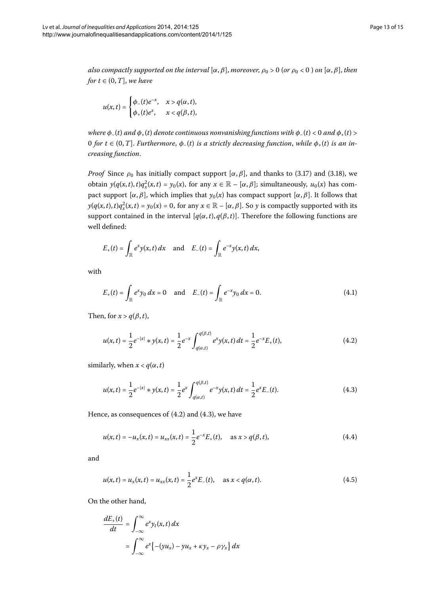*also compactly supported on the interval*  $[\alpha, \beta]$ , *moreover*,  $\rho_0 > 0$  (*or*  $\rho_0 < 0$ ) *on*  $[\alpha, \beta]$ , *then for*  $t \in (0, T]$ *, we have* 

$$
u(x,t) = \begin{cases} \phi_-(t)e^{-x}, & x > q(\alpha,t), \\ \phi_+(t)e^x, & x < q(\beta,t), \end{cases}
$$

*where*  $\phi_{-}(t)$  *and*  $\phi_{+}(t)$  *denote continuous nonvanishing functions with*  $\phi_{-}(t) < 0$  *and*  $\phi_{+}(t) > 0$ *for t*  $\in$  (0, *T*]. *Furthermore*,  $\phi$ <sub>-</sub>(*t*) *is a strictly decreasing function*, *while*  $\phi$ <sub>+</sub>(*t*) *is an increasing function*.

*Proof* Since  $\rho_0$  has initially compact support  $\alpha, \beta$ , and thanks to (3.17) and (3.18), we obtain  $y(q(x,t),t)q_x^2(x,t) = y_0(x)$ , for any  $x \in \mathbb{R} - [\alpha, \beta]$ ; simultaneously,  $u_0(x)$  has compact support  $[\alpha, \beta]$ , which implies that  $y_0(x)$  has compact support  $[\alpha, \beta]$ . It follows that  $y(q(x,t),t)q_x^2(x,t) = y_0(x) = 0$ , for any  $x \in \mathbb{R} - [\alpha, \beta]$ . So *y* is compactly supported with its support contained in the interval  $[q(\alpha, t), q(\beta, t)]$ . Therefore the following functions are well defined:

<span id="page-12-2"></span>
$$
E_+(t) = \int_{\mathbb{R}} e^x y(x,t) dx \text{ and } E_-(t) = \int_{\mathbb{R}} e^{-x} y(x,t) dx,
$$

with

<span id="page-12-0"></span>
$$
E_{+}(t) = \int_{\mathbb{R}} e^{x} y_0 dx = 0 \quad \text{and} \quad E_{-}(t) = \int_{\mathbb{R}} e^{-x} y_0 dx = 0. \tag{4.1}
$$

Then, for  $x > q(\beta, t)$ ,

<span id="page-12-1"></span>
$$
u(x,t) = \frac{1}{2}e^{-|x|} * y(x,t) = \frac{1}{2}e^{-x} \int_{q(\alpha,t)}^{q(\beta,t)} e^{x}y(x,t) dt = \frac{1}{2}e^{-x}E_{+}(t),
$$
\n(4.2)

similarly, when  $x < q(\alpha, t)$ 

$$
u(x,t) = \frac{1}{2}e^{-|x|} * y(x,t) = \frac{1}{2}e^x \int_{q(\alpha,t)}^{q(\beta,t)} e^{-x}y(x,t) dt = \frac{1}{2}e^x E_-(t).
$$
 (4.3)

Hence, as consequences of  $(4.2)$  $(4.2)$  $(4.2)$  and  $(4.3)$ , we have

$$
u(x,t) = -u_x(x,t) = u_{xx}(x,t) = \frac{1}{2}e^{-x}E_+(t), \quad \text{as } x > q(\beta, t),
$$
\n(4.4)

and

$$
u(x,t) = u_x(x,t) = u_{xx}(x,t) = \frac{1}{2}e^x E_-(t), \quad \text{as } x < q(\alpha, t). \tag{4.5}
$$

On the other hand,

$$
\frac{dE_+(t)}{dt} = \int_{-\infty}^{\infty} e^x y_t(x, t) dx
$$

$$
= \int_{-\infty}^{\infty} e^x \{ -(yu_x) - yu_x + \kappa y_x - \rho y_x \} dx
$$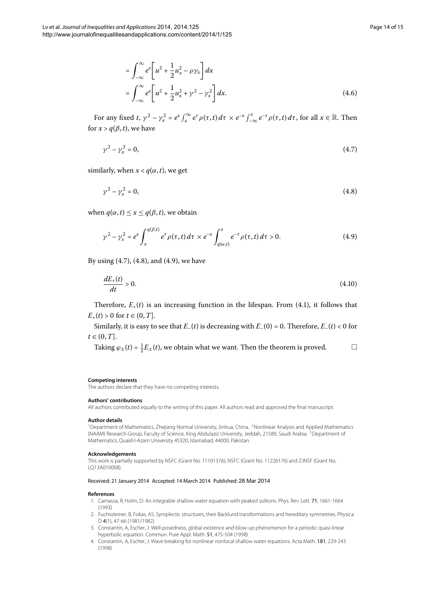<span id="page-13-8"></span><span id="page-13-7"></span><span id="page-13-6"></span>=

For any fixed t,  $\gamma^2 - \gamma_x^2 = e^x \int_x^{\infty} e^{\tau} \rho(\tau, t) d\tau \times e^{-x} \int_{-\infty}^x e^{-\tau} \rho(\tau, t) d\tau$ , for all  $x \in \mathbb{R}$ . Then for  $x > q(\beta, t)$ , we have

$$
\gamma^2 - \gamma_x^2 = 0,\tag{4.7}
$$

similarly, when  $x < q(\alpha, t)$ , we get

$$
\gamma^2 - \gamma_x^2 = 0,\tag{4.8}
$$

when  $q(\alpha, t) \leq x \leq q(\beta, t)$ , we obtain

$$
\gamma^{2} - \gamma_{x}^{2} = e^{x} \int_{x}^{q(\beta,t)} e^{\tau} \rho(\tau,t) d\tau \times e^{-x} \int_{q(\alpha,t)}^{x} e^{-\tau} \rho(\tau,t) d\tau > 0.
$$
 (4.9)

By using  $(4.7)$  $(4.7)$  $(4.7)$ ,  $(4.8)$ , and  $(4.9)$ , we have

$$
\frac{dE_{+}(t)}{dt} > 0.\tag{4.10}
$$

Therefore,  $E_{+}(t)$  is an increasing function in the lifespan. From (4.1), it follows that  $E_{+}(t) > 0$  for  $t \in (0, T]$ .

Similarly, it is easy to see that  $E_-(t)$  is decreasing with  $E_-(0) = 0$ . Therefore,  $E_-(t) < 0$  for  $t \in (0, T]$ .

<span id="page-13-2"></span><span id="page-13-1"></span>Taking 
$$
\varphi_{\pm}(t) = \frac{1}{2}E_{\pm}(t)
$$
, we obtain what we want. Then the theorem is proved.

#### <span id="page-13-0"></span>**Competing interests**

The authors declare that they have no competing interests.

#### **Authors' contributions**

All authors contributed equally to the writing of this paper. All authors read and approved the final manuscript.

#### **Author details**

<span id="page-13-3"></span><sup>1</sup> Department of Mathematics, Zhejiang Normal University, Jinhua, China. <sup>2</sup>Nonlinear Analysis and Applied Mathematics (NAAM) Research Group, Faculty of Science, King Abdulaziz University, Jeddah, 21589, Saudi Arabia. <sup>3</sup>Department of Mathematics, Quaid-I-Azam University 45320, Islamabad, 44000, Pakistan.

## <span id="page-13-4"></span>**Acknowledgements**

<span id="page-13-5"></span>This work is partially supported by NSFC (Grant No. 11101376), NSFC (Grant No. 11226176) and ZJNSF (Grant No. LQ13A010008).

### Received: 21 January 2014 Accepted: 14 March 2014 Published: 28 Mar 2014

#### **References**

- 1. Camassa, R, Holm, D: An integrable shallow water equation with peaked solitons. Phys. Rev. Lett. 71, 1661-1664 (1993)
- 2. Fuchssteiner, B, Fokas, AS: Symplectic structures, their Backlund transformations and hereditary symmetries. Physica D 4(1), 47-66 (1981/1982)
- 3. Constantin, A, Escher, J: Well-posedness, global existence and blow-up phenomenon for a periodic quasi-linear hyperbolic equation. Commun. Pure Appl. Math. 51, 475-504 (1998)
- 4. Constantin, A, Escher, J: Wave breaking for nonlinear nonlocal shallow water equations. Acta Math. 181, 229-243 (1998)